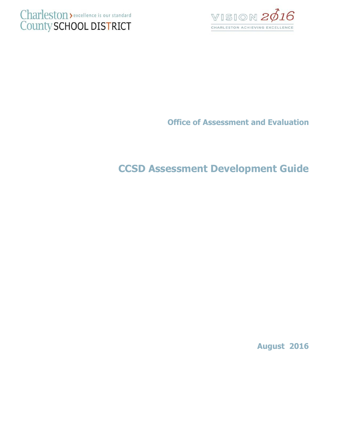



**Office of Assessment and Evaluation**

# **CCSD Assessment Development Guide**

**August 2016**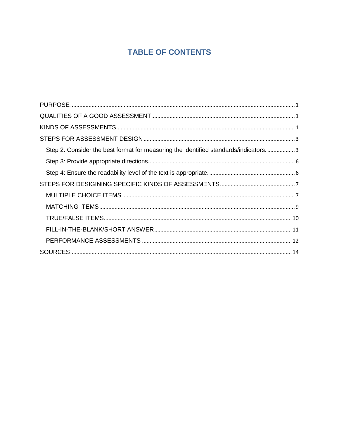## **TABLE OF CONTENTS**

| Step 2: Consider the best format for measuring the identified standards/indicators3 |  |
|-------------------------------------------------------------------------------------|--|
|                                                                                     |  |
|                                                                                     |  |
|                                                                                     |  |
|                                                                                     |  |
|                                                                                     |  |
|                                                                                     |  |
|                                                                                     |  |
|                                                                                     |  |
|                                                                                     |  |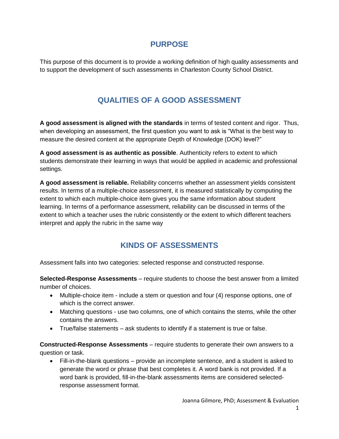## **PURPOSE**

<span id="page-2-1"></span><span id="page-2-0"></span>This purpose of this document is to provide a working definition of high quality assessments and to support the development of such assessments in Charleston County School District.

## **QUALITIES OF A GOOD ASSESSMENT**

**A good assessment is aligned with the standards** in terms of tested content and rigor. Thus, when developing an assessment, the first question you want to ask is "What is the best way to measure the desired content at the appropriate Depth of Knowledge (DOK) level?"

**A good assessment is as authentic as possible**. Authenticity refers to extent to which students demonstrate their learning in ways that would be applied in academic and professional settings.

**A good assessment is reliable.** Reliability concerns whether an assessment yields consistent results. In terms of a multiple-choice assessment, it is measured statistically by computing the extent to which each multiple-choice item gives you the same information about student learning. In terms of a performance assessment, reliability can be discussed in terms of the extent to which a teacher uses the rubric consistently or the extent to which different teachers interpret and apply the rubric in the same way

## **KINDS OF ASSESSMENTS**

<span id="page-2-2"></span>Assessment falls into two categories: selected response and constructed response.

**Selected-Response Assessments** – require students to choose the best answer from a limited number of choices.

- Multiple-choice item include a stem or question and four (4) response options, one of which is the correct answer.
- Matching questions use two columns, one of which contains the stems, while the other contains the answers.
- True/false statements ask students to identify if a statement is true or false.

**Constructed-Response Assessments** – require students to generate their own answers to a question or task.

 Fill-in-the-blank questions – provide an incomplete sentence, and a student is asked to generate the word or phrase that best completes it. A word bank is not provided. If a word bank is provided, fill-in-the-blank assessments items are considered selectedresponse assessment format.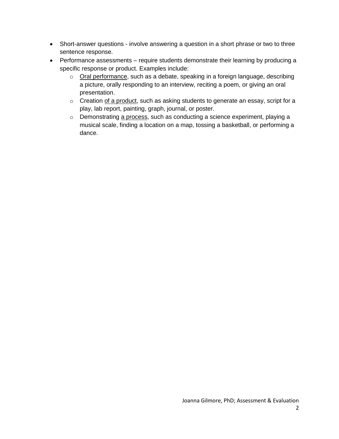- Short-answer questions involve answering a question in a short phrase or two to three sentence response.
- Performance assessments require students demonstrate their learning by producing a specific response or product. Examples include:
	- o Oral performance, such as a debate, speaking in a foreign language, describing a picture, orally responding to an interview, reciting a poem, or giving an oral presentation.
	- o Creation of a product, such as asking students to generate an essay, script for a play, lab report, painting, graph, journal, or poster.
	- o Demonstrating a process, such as conducting a science experiment, playing a musical scale, finding a location on a map, tossing a basketball, or performing a dance.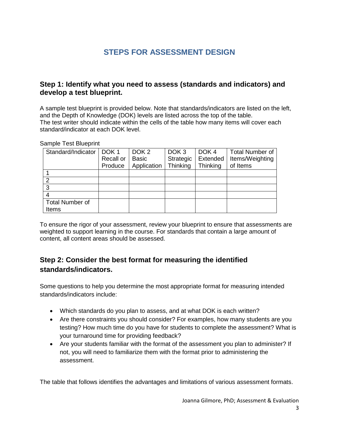## **STEPS FOR ASSESSMENT DESIGN**

#### <span id="page-4-0"></span>**Step 1: Identify what you need to assess (standards and indicators) and develop a test blueprint.**

A sample test blueprint is provided below. Note that standards/indicators are listed on the left, and the Depth of Knowledge (DOK) levels are listed across the top of the table. The test writer should indicate within the cells of the table how many items will cover each standard/indicator at each DOK level.

#### Sample Test Blueprint

| Standard/Indicator     | DOK <sub>1</sub><br>Recall or<br>Produce | DOK <sub>2</sub><br><b>Basic</b><br>Application | DOK <sub>3</sub><br>Strategic<br>Thinking | DOK <sub>4</sub><br>Extended<br>Thinking | <b>Total Number of</b><br>Items/Weighting<br>of Items |
|------------------------|------------------------------------------|-------------------------------------------------|-------------------------------------------|------------------------------------------|-------------------------------------------------------|
|                        |                                          |                                                 |                                           |                                          |                                                       |
| າ                      |                                          |                                                 |                                           |                                          |                                                       |
| ્ર                     |                                          |                                                 |                                           |                                          |                                                       |
|                        |                                          |                                                 |                                           |                                          |                                                       |
| <b>Total Number of</b> |                                          |                                                 |                                           |                                          |                                                       |
| Items                  |                                          |                                                 |                                           |                                          |                                                       |

To ensure the rigor of your assessment, review your blueprint to ensure that assessments are weighted to support learning in the course. For standards that contain a large amount of content, all content areas should be assessed.

## <span id="page-4-1"></span>**Step 2: Consider the best format for measuring the identified standards/indicators.**

Some questions to help you determine the most appropriate format for measuring intended standards/indicators include:

- Which standards do you plan to assess, and at what DOK is each written?
- Are there constraints you should consider? For examples, how many students are you testing? How much time do you have for students to complete the assessment? What is your turnaround time for providing feedback?
- Are your students familiar with the format of the assessment you plan to administer? If not, you will need to familiarize them with the format prior to administering the assessment.

The table that follows identifies the advantages and limitations of various assessment formats.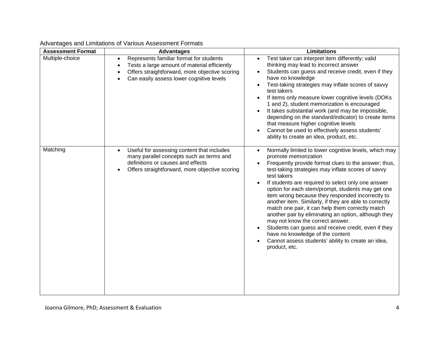| <b>Assessment Format</b> | <b>Advantages</b>                                                                                                                                                                                               | <b>Limitations</b>                                                                                                                                                                                                                                                                                                                                                                                                                                                                                                                                                                                                                                                                                                                                                 |
|--------------------------|-----------------------------------------------------------------------------------------------------------------------------------------------------------------------------------------------------------------|--------------------------------------------------------------------------------------------------------------------------------------------------------------------------------------------------------------------------------------------------------------------------------------------------------------------------------------------------------------------------------------------------------------------------------------------------------------------------------------------------------------------------------------------------------------------------------------------------------------------------------------------------------------------------------------------------------------------------------------------------------------------|
| Multiple-choice          | Represents familiar format for students<br>$\bullet$<br>Tests a large amount of material efficiently<br>$\bullet$<br>Offers straightforward, more objective scoring<br>Can easily assess lower cognitive levels | Test taker can interpret item differently; valid<br>thinking may lead to incorrect answer<br>Students can guess and receive credit, even if they<br>have no knowledge<br>Test-taking strategies may inflate scores of savvy<br>test takers<br>If items only measure lower cognitive levels (DOKs<br>1 and 2), student memorization is encouraged<br>It takes substantial work (and may be impossible,<br>$\bullet$<br>depending on the standard/indicator) to create items<br>that measure higher cognitive levels<br>Cannot be used to effectively assess students'<br>ability to create an idea, product, etc.                                                                                                                                                   |
| Matching                 | Useful for assessing content that includes<br>$\bullet$<br>many parallel concepts such as terms and<br>definitions or causes and effects<br>Offers straightforward, more objective scoring                      | Normally limited to lower cognitive levels, which may<br>$\bullet$<br>promote memorization<br>Frequently provide format clues to the answer; thus,<br>test-taking strategies may inflate scores of savvy<br>test takers<br>If students are required to select only one answer<br>option for each stem/prompt, students may get one<br>item wrong because they responded incorrectly to<br>another item. Similarly, if they are able to correctly<br>match one pair, it can help them correctly match<br>another pair by eliminating an option, although they<br>may not know the correct answer.<br>Students can guess and receive credit, even if they<br>have no knowledge of the content<br>Cannot assess students' ability to create an idea,<br>product, etc. |

#### Advantages and Limitations of Various Assessment Formats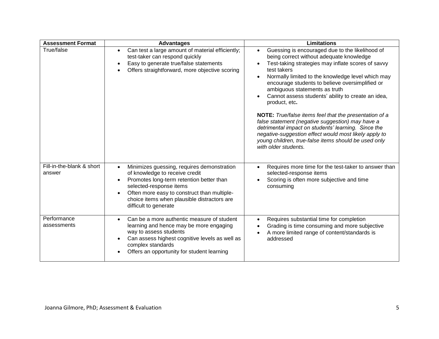| <b>Assessment Format</b>            | <b>Advantages</b>                                                                                                                                                                                                                                                                                    | <b>Limitations</b>                                                                                                                                                                                                                                                                                                                                                                                                                                                                                                                                                                                                                                                                             |
|-------------------------------------|------------------------------------------------------------------------------------------------------------------------------------------------------------------------------------------------------------------------------------------------------------------------------------------------------|------------------------------------------------------------------------------------------------------------------------------------------------------------------------------------------------------------------------------------------------------------------------------------------------------------------------------------------------------------------------------------------------------------------------------------------------------------------------------------------------------------------------------------------------------------------------------------------------------------------------------------------------------------------------------------------------|
| True/false                          | Can test a large amount of material efficiently;<br>test-taker can respond quickly<br>Easy to generate true/false statements<br>Offers straightforward, more objective scoring                                                                                                                       | Guessing is encouraged due to the likelihood of<br>being correct without adequate knowledge<br>Test-taking strategies may inflate scores of savvy<br>test takers<br>Normally limited to the knowledge level which may<br>encourage students to believe oversimplified or<br>ambiguous statements as truth<br>Cannot assess students' ability to create an idea,<br>product, etc.<br>NOTE: True/false items feel that the presentation of a<br>false statement (negative suggestion) may have a<br>detrimental impact on students' learning. Since the<br>negative-suggestion effect would most likely apply to<br>young children, true-false items should be used only<br>with older students. |
| Fill-in-the-blank & short<br>answer | Minimizes guessing, requires demonstration<br>$\bullet$<br>of knowledge to receive credit<br>Promotes long-term retention better than<br>$\bullet$<br>selected-response items<br>Often more easy to construct than multiple-<br>choice items when plausible distractors are<br>difficult to generate | Requires more time for the test-taker to answer than<br>selected-response items<br>Scoring is often more subjective and time<br>consuming                                                                                                                                                                                                                                                                                                                                                                                                                                                                                                                                                      |
| Performance<br>assessments          | Can be a more authentic measure of student<br>$\bullet$<br>learning and hence may be more engaging<br>way to assess students<br>Can assess highest cognitive levels as well as<br>complex standards<br>Offers an opportunity for student learning                                                    | Requires substantial time for completion<br>$\bullet$<br>Grading is time consuming and more subjective<br>A more limited range of content/standards is<br>addressed                                                                                                                                                                                                                                                                                                                                                                                                                                                                                                                            |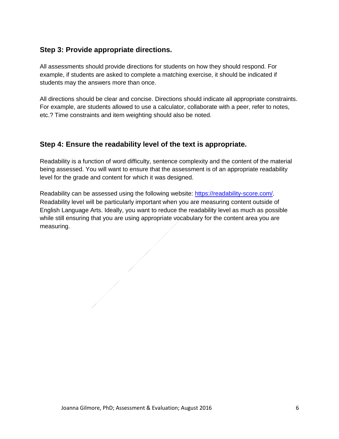### <span id="page-7-0"></span>**Step 3: Provide appropriate directions.**

All assessments should provide directions for students on how they should respond. For example, if students are asked to complete a matching exercise, it should be indicated if students may the answers more than once.

All directions should be clear and concise. Directions should indicate all appropriate constraints. For example, are students allowed to use a calculator, collaborate with a peer, refer to notes, etc.? Time constraints and item weighting should also be noted.

### <span id="page-7-1"></span>**Step 4: Ensure the readability level of the text is appropriate.**

Readability is a function of word difficulty, sentence complexity and the content of the material being assessed. You will want to ensure that the assessment is of an appropriate readability level for the grade and content for which it was designed.

Readability can be assessed using the following website:<https://readability-score.com/>. Readability level will be particularly important when you are measuring content outside of English Language Arts. Ideally, you want to reduce the readability level as much as possible while still ensuring that you are using appropriate vocabulary for the content area you are measuring.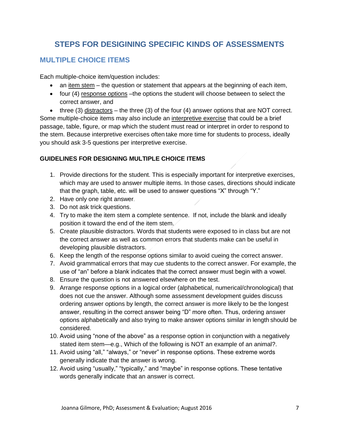## **STEPS FOR DESIGINING SPECIFIC KINDS OF ASSESSMENTS**

### <span id="page-8-1"></span><span id="page-8-0"></span>**MULTIPLE CHOICE ITEMS**

Each multiple-choice item/question includes:

- $\bullet$  an item stem the question or statement that appears at the beginning of each item,
- four (4) response options –the options the student will choose between to select the correct answer, and

 $\bullet$  three (3) distractors – the three (3) of the four (4) answer options that are NOT correct. Some multiple-choice items may also include an interpretive exercise that could be a brief passage, table, figure, or map which the student must read or interpret in order to respond to the stem. Because interpretive exercises often take more time for students to process, ideally you should ask 3-5 questions per interpretive exercise.

#### **GUIDELINES FOR DESIGNING MULTIPLE CHOICE ITEMS**

- 1. Provide directions for the student. This is especially important for interpretive exercises, which may are used to answer multiple items. In those cases, directions should indicate that the graph, table, etc. will be used to answer questions "X" through "Y."
- 2. Have only one right answer.
- 3. Do not ask trick questions.
- 4. Try to make the item stem a complete sentence. If not, include the blank and ideally position it toward the end of the item stem.
- 5. Create plausible distractors. Words that students were exposed to in class but are not the correct answer as well as common errors that students make can be useful in developing plausible distractors.
- 6. Keep the length of the response options similar to avoid cueing the correct answer.
- 7. Avoid grammatical errors that may cue students to the correct answer. For example, the use of "an" before a blank indicates that the correct answer must begin with a vowel.
- 8. Ensure the question is not answered elsewhere on the test.
- 9. Arrange response options in a logical order (alphabetical, numerical/chronological) that does not cue the answer. Although some assessment development guides discuss ordering answer options by length, the correct answer is more likely to be the longest answer, resulting in the correct answer being "D" more often. Thus, ordering answer options alphabetically and also trying to make answer options similar in length should be considered.
- 10. Avoid using "none of the above" as a response option in conjunction with a negatively stated item stem—e.g., Which of the following is NOT an example of an animal?.
- 11. Avoid using "all," "always," or "never" in response options. These extreme words generally indicate that the answer is wrong.
- 12. Avoid using "usually," "typically," and "maybe" in response options. These tentative words generally indicate that an answer is correct.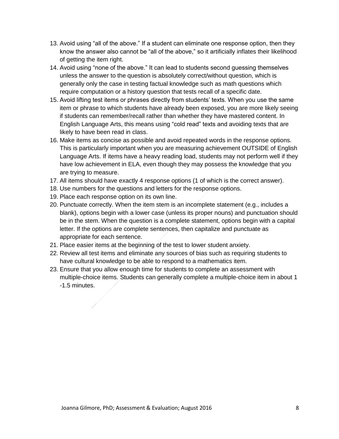- 13. Avoid using "all of the above." If a student can eliminate one response option, then they know the answer also cannot be "all of the above," so it artificially inflates their likelihood of getting the item right.
- 14. Avoid using "none of the above." It can lead to students second guessing themselves unless the answer to the question is absolutely correct/without question, which is generally only the case in testing factual knowledge such as math questions which require computation or a history question that tests recall of a specific date.
- 15. Avoid lifting test items or phrases directly from students' texts. When you use the same item or phrase to which students have already been exposed, you are more likely seeing if students can remember/recall rather than whether they have mastered content. In English Language Arts, this means using "cold read" texts and avoiding texts that are likely to have been read in class.
- 16. Make items as concise as possible and avoid repeated words in the response options. This is particularly important when you are measuring achievement OUTSIDE of English Language Arts. If items have a heavy reading load, students may not perform well if they have low achievement in ELA, even though they may possess the knowledge that you are trying to measure.
- 17. All items should have exactly 4 response options (1 of which is the correct answer).
- 18. Use numbers for the questions and letters for the response options.
- 19. Place each response option on its own line.
- 20. Punctuate correctly. When the item stem is an incomplete statement (e.g., includes a blank), options begin with a lower case (unless its proper nouns) and punctuation should be in the stem. When the question is a complete statement, options begin with a capital letter. If the options are complete sentences, then capitalize and punctuate as appropriate for each sentence.
- 21. Place easier items at the beginning of the test to lower student anxiety.
- 22. Review all test items and eliminate any sources of bias such as requiring students to have cultural knowledge to be able to respond to a mathematics item.
- 23. Ensure that you allow enough time for students to complete an assessment with multiple-choice items. Students can generally complete a multiple-choice item in about 1 -1.5 minutes.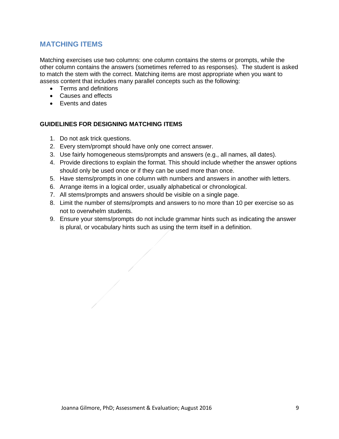### <span id="page-10-0"></span>**MATCHING ITEMS**

Matching exercises use two columns: one column contains the stems or prompts, while the other column contains the answers (sometimes referred to as responses). The student is asked to match the stem with the correct. Matching items are most appropriate when you want to assess content that includes many parallel concepts such as the following:

- Terms and definitions
- Causes and effects
- Events and dates

#### **GUIDELINES FOR DESIGNING MATCHING ITEMS**

- 1. Do not ask trick questions.
- 2. Every stem/prompt should have only one correct answer.
- 3. Use fairly homogeneous stems/prompts and answers (e.g., all names, all dates).
- 4. Provide directions to explain the format. This should include whether the answer options should only be used once or if they can be used more than once.
- 5. Have stems/prompts in one column with numbers and answers in another with letters.
- 6. Arrange items in a logical order, usually alphabetical or chronological.
- 7. All stems/prompts and answers should be visible on a single page.
- 8. Limit the number of stems/prompts and answers to no more than 10 per exercise so as not to overwhelm students.
- 9. Ensure your stems/prompts do not include grammar hints such as indicating the answer is plural, or vocabulary hints such as using the term itself in a definition.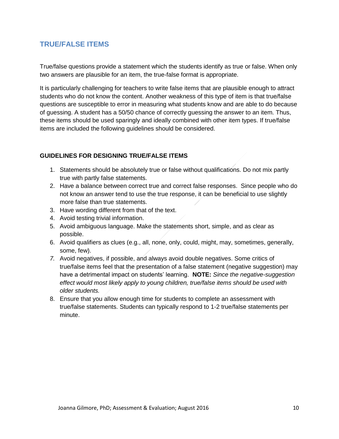### <span id="page-11-0"></span>**TRUE/FALSE ITEMS**

True/false questions provide a statement which the students identify as true or false. When only two answers are plausible for an item, the true-false format is appropriate.

It is particularly challenging for teachers to write false items that are plausible enough to attract students who do not know the content. Another weakness of this type of item is that true/false questions are susceptible to error in measuring what students know and are able to do because of guessing. A student has a 50/50 chance of correctly guessing the answer to an item. Thus, these items should be used sparingly and ideally combined with other item types. If true/false items are included the following guidelines should be considered.

#### **GUIDELINES FOR DESIGNING TRUE/FALSE ITEMS**

- 1. Statements should be absolutely true or false without qualifications. Do not mix partly true with partly false statements.
- 2. Have a balance between correct true and correct false responses. Since people who do not know an answer tend to use the true response, it can be beneficial to use slightly more false than true statements.
- 3. Have wording different from that of the text.
- 4. Avoid testing trivial information.
- 5. Avoid ambiguous language. Make the statements short, simple, and as clear as possible.
- 6. Avoid qualifiers as clues (e.g., all, none, only, could, might, may, sometimes, generally, some, few).
- *7.* Avoid negatives, if possible, and always avoid double negatives. Some critics of true/false items feel that the presentation of a false statement (negative suggestion) may have a detrimental impact on students' learning. **NOTE:** *Since the negative-suggestion effect would most likely apply to young children, true/false items should be used with older students.*
- 8. Ensure that you allow enough time for students to complete an assessment with true/false statements. Students can typically respond to 1-2 true/false statements per minute.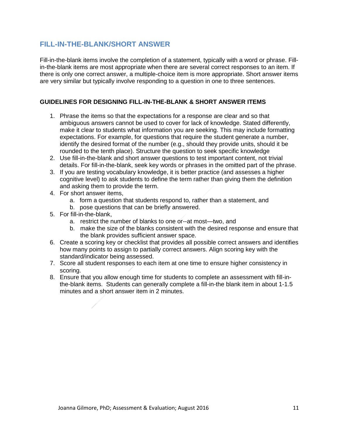#### <span id="page-12-0"></span>**FILL-IN-THE-BLANK/SHORT ANSWER**

Fill-in-the-blank items involve the completion of a statement, typically with a word or phrase. Fillin-the-blank items are most appropriate when there are several correct responses to an item. If there is only one correct answer, a multiple-choice item is more appropriate. Short answer items are very similar but typically involve responding to a question in one to three sentences.

#### **GUIDELINES FOR DESIGNING FILL-IN-THE-BLANK & SHORT ANSWER ITEMS**

- 1. Phrase the items so that the expectations for a response are clear and so that ambiguous answers cannot be used to cover for lack of knowledge. Stated differently, make it clear to students what information you are seeking. This may include formatting expectations. For example, for questions that require the student generate a number, identify the desired format of the number (e.g., should they provide units, should it be rounded to the tenth place). Structure the question to seek specific knowledge
- 2. Use fill-in-the-blank and short answer questions to test important content, not trivial details. For fill-in-the-blank, seek key words or phrases in the omitted part of the phrase.
- 3. If you are testing vocabulary knowledge, it is better practice (and assesses a higher cognitive level) to ask students to define the term rather than giving them the definition and asking them to provide the term.
- 4. For short answer items,
	- a. form a question that students respond to, rather than a statement, and
	- b. pose questions that can be briefly answered.
- 5. For fill-in-the-blank,
	- a. restrict the number of blanks to one or--at most—two, and
	- b. make the size of the blanks consistent with the desired response and ensure that the blank provides sufficient answer space.
- 6. Create a scoring key or checklist that provides all possible correct answers and identifies how many points to assign to partially correct answers. Align scoring key with the standard/indicator being assessed.
- 7. Score all student responses to each item at one time to ensure higher consistency in scoring.
- 8. Ensure that you allow enough time for students to complete an assessment with fill-inthe-blank items. Students can generally complete a fill-in-the blank item in about 1-1.5 minutes and a short answer item in 2 minutes.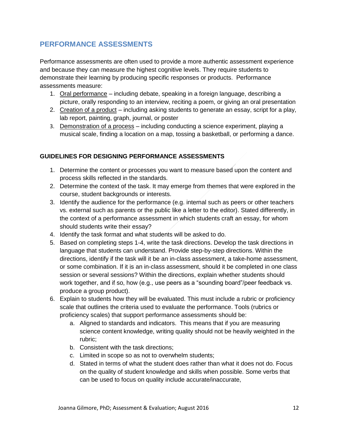### <span id="page-13-0"></span>**PERFORMANCE ASSESSMENTS**

Performance assessments are often used to provide a more authentic assessment experience and because they can measure the highest cognitive levels. They require students to demonstrate their learning by producing specific responses or products. Performance assessments measure:

- 1. Oral performance including debate, speaking in a foreign language, describing a picture, orally responding to an interview, reciting a poem, or giving an oral presentation
- 2. Creation of a product including asking students to generate an essay, script for a play, lab report, painting, graph, journal, or poster
- 3. Demonstration of a process including conducting a science experiment, playing a musical scale, finding a location on a map, tossing a basketball, or performing a dance.

#### **GUIDELINES FOR DESIGNING PERFORMANCE ASSESSMENTS**

- 1. Determine the content or processes you want to measure based upon the content and process skills reflected in the standards.
- 2. Determine the context of the task. It may emerge from themes that were explored in the course, student backgrounds or interests.
- 3. Identify the audience for the performance (e.g. internal such as peers or other teachers vs. external such as parents or the public like a letter to the editor). Stated differently, in the context of a performance assessment in which students craft an essay, for whom should students write their essay?
- 4. Identify the task format and what students will be asked to do.
- 5. Based on completing steps 1-4, write the task directions. Develop the task directions in language that students can understand. Provide step-by-step directions. Within the directions, identify if the task will it be an in-class assessment, a take-home assessment, or some combination. If it is an in-class assessment, should it be completed in one class session or several sessions? Within the directions, explain whether students should work together, and if so, how (e.g., use peers as a "sounding board"/peer feedback vs. produce a group product).
- 6. Explain to students how they will be evaluated. This must include a rubric or proficiency scale that outlines the criteria used to evaluate the performance. Tools (rubrics or proficiency scales) that support performance assessments should be:
	- a. Aligned to standards and indicators. This means that if you are measuring science content knowledge, writing quality should not be heavily weighted in the rubric;
	- b. Consistent with the task directions;
	- c. Limited in scope so as not to overwhelm students;
	- d. Stated in terms of what the student does rather than what it does not do. Focus on the quality of student knowledge and skills when possible. Some verbs that can be used to focus on quality include accurate/inaccurate,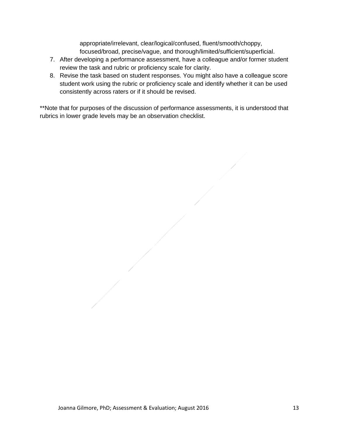appropriate/irrelevant, clear/logical/confused, fluent/smooth/choppy, focused/broad, precise/vague, and thorough/limited/sufficient/superficial.

- 7. After developing a performance assessment, have a colleague and/or former student review the task and rubric or proficiency scale for clarity.
- 8. Revise the task based on student responses. You might also have a colleague score student work using the rubric or proficiency scale and identify whether it can be used consistently across raters or if it should be revised.

\*\*Note that for purposes of the discussion of performance assessments, it is understood that rubrics in lower grade levels may be an observation checklist.

Joanna Gilmore, PhD; Assessment & Evaluation; August 2016 13 13